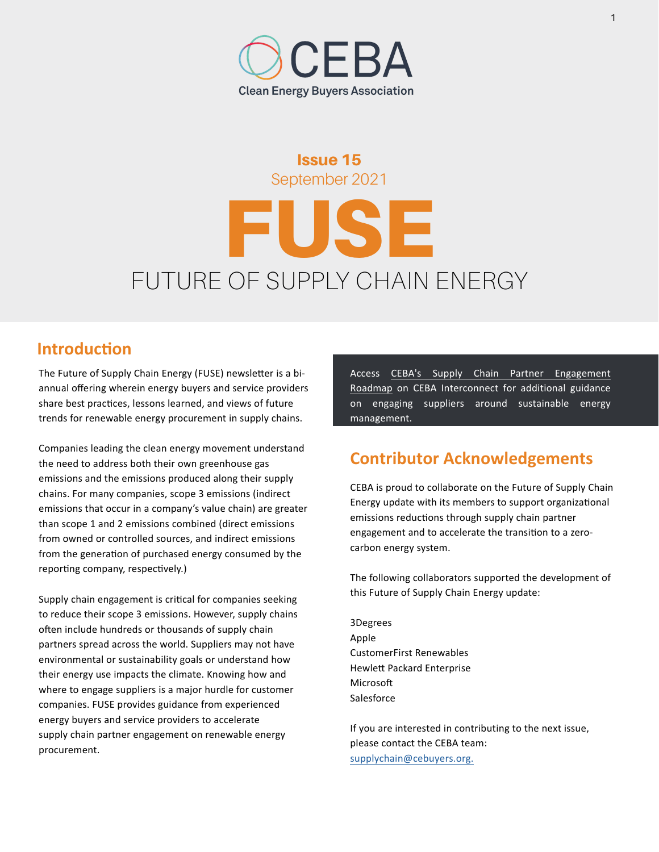#### Issue 15 September 2021

# FUSE FUTURE OF SUPPLY CHAIN ENERGY

### **Introduction**

The Future of Supply Chain Energy (FUSE) newsletter is a biannual offering wherein energy buyers and service providers share best practices, lessons learned, and views of future trends for renewable energy procurement in supply chains.

Companies leading the clean energy movement understand the need to address both their own greenhouse gas emissions and the emissions produced along their supply chains. For many companies, scope 3 emissions (indirect emissions that occur in a company's value chain) are greater than scope 1 and 2 emissions combined (direct emissions from owned or controlled sources, and indirect emissions from the generation of purchased energy consumed by the reporting company, respectively.)

Supply chain engagement is critical for companies seeking to reduce their scope 3 emissions. However, supply chains often include hundreds or thousands of supply chain partners spread across the world. Suppliers may not have environmental or sustainability goals or understand how their energy use impacts the climate. Knowing how and where to engage suppliers is a major hurdle for customer companies. FUSE provides guidance from experienced energy buyers and service providers to accelerate supply chain partner engagement on renewable energy procurement.

[Access CEBA's Supply Chain Partner Engagement](https://portal.cebuyers.org/pages/supply_chain_engagement_roadmap)  Roadmap on CEBA Interconnect for additional guidance on engaging suppliers around sustainable energy management.

### **Contributor Acknowledgements**

CEBA is proud to collaborate on the Future of Supply Chain Energy update with its members to support organizational emissions reductions through supply chain partner engagement and to accelerate the transition to a zerocarbon energy system.

The following collaborators supported the development of this Future of Supply Chain Energy update:

3Degrees Apple CustomerFirst Renewables Hewlett Packard Enterprise Microsoft Salesforce

If you are interested in contributing to the next issue, please contact the CEBA team: [supplychain@cebuyers.org.](mailto:supplychain%40cebuyers.org.?subject=)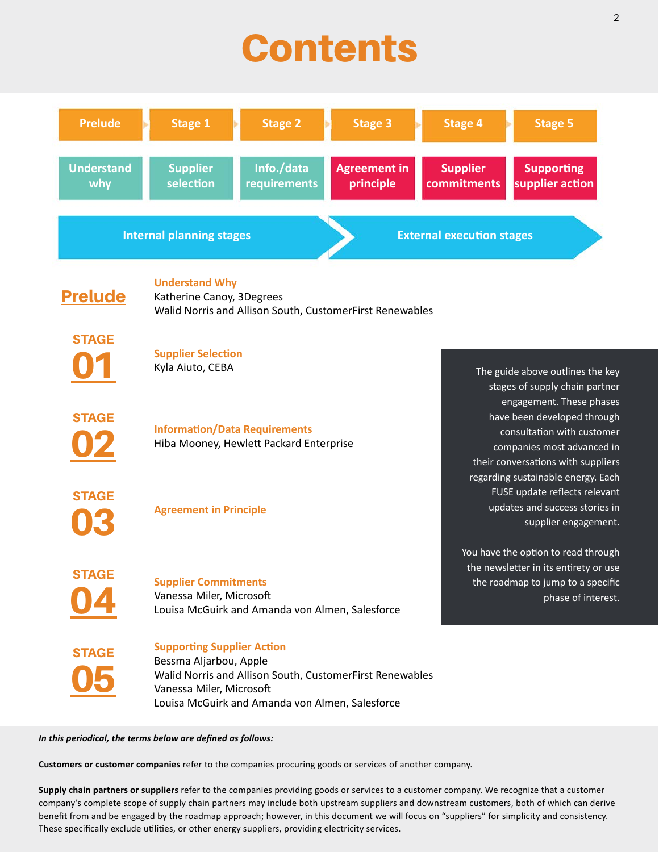## **Contents**



*In this periodical, the terms below are defined as follows:* 

**Customers or customer companies** refer to the companies procuring goods or services of another company.

**Supply chain partners or suppliers** refer to the companies providing goods or services to a customer company. We recognize that a customer company's complete scope of supply chain partners may include both upstream suppliers and downstream customers, both of which can derive benefit from and be engaged by the roadmap approach; however, in this document we will focus on "suppliers" for simplicity and consistency. These specifically exclude utilities, or other energy suppliers, providing electricity services.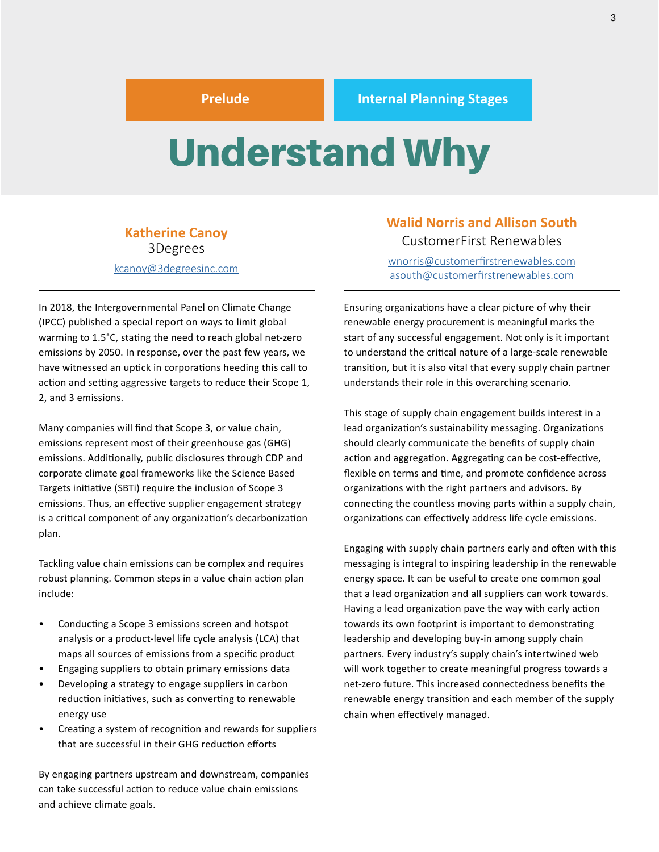## <span id="page-2-0"></span>Understand Why

#### **Katherine Canoy** 3Degrees [kcanoy@3degreesinc.com](mailto:kcanoy@3degreesinc.com)

In 2018, the Intergovernmental Panel on Climate Change (IPCC) published a special report on ways to limit global warming to 1.5°C, stating the need to reach global net-zero emissions by 2050. In response, over the past few years, we have witnessed an uptick in corporations heeding this call to action and setting aggressive targets to reduce their Scope 1, 2, and 3 emissions.

Many companies will find that Scope 3, or value chain, emissions represent most of their greenhouse gas (GHG) emissions. Additionally, public disclosures through CDP and corporate climate goal frameworks like the Science Based Targets initiative (SBTi) require the inclusion of Scope 3 emissions. Thus, an effective supplier engagement strategy is a critical component of any organization's decarbonization plan.

Tackling value chain emissions can be complex and requires robust planning. Common steps in a value chain action plan include:

- Conducting a Scope 3 emissions screen and hotspot analysis or a product-level life cycle analysis (LCA) that maps all sources of emissions from a specific product
- Engaging suppliers to obtain primary emissions data
- Developing a strategy to engage suppliers in carbon reduction initiatives, such as converting to renewable energy use
- Creating a system of recognition and rewards for suppliers that are successful in their GHG reduction efforts

By engaging partners upstream and downstream, companies can take successful action to reduce value chain emissions and achieve climate goals.

#### **Walid Norris and Allison South** CustomerFirst Renewables

[wnorris@customerfirstrenewables.com](mailto:wnorris@customerfirstrenewables.com) [asouth@customerfirstrenewables.com](mailto:asouth%40customerfirstrenewables.com?subject=)

Ensuring organizations have a clear picture of why their renewable energy procurement is meaningful marks the start of any successful engagement. Not only is it important to understand the critical nature of a large-scale renewable transition, but it is also vital that every supply chain partner understands their role in this overarching scenario.

This stage of supply chain engagement builds interest in a lead organization's sustainability messaging. Organizations should clearly communicate the benefits of supply chain action and aggregation. Aggregating can be cost-effective, flexible on terms and time, and promote confidence across organizations with the right partners and advisors. By connecting the countless moving parts within a supply chain, organizations can effectively address life cycle emissions.

Engaging with supply chain partners early and often with this messaging is integral to inspiring leadership in the renewable energy space. It can be useful to create one common goal that a lead organization and all suppliers can work towards. Having a lead organization pave the way with early action towards its own footprint is important to demonstrating leadership and developing buy-in among supply chain partners. Every industry's supply chain's intertwined web will work together to create meaningful progress towards a net-zero future. This increased connectedness benefits the renewable energy transition and each member of the supply chain when effectively managed.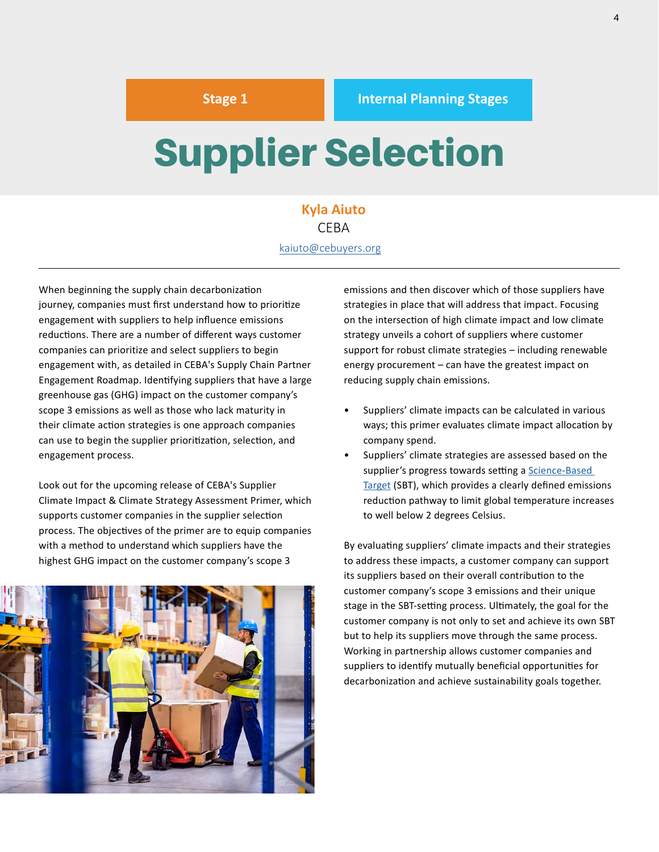## <span id="page-3-0"></span>Supplier Selection

#### **Kyla Aiuto** CEBA kaiuto@[cebuyers](mailto:kaiuto@cebuyers.org).org

When beginning the supply chain decarbonization journey, companies must first understand how to prioritize engagement with suppliers to help influence emissions reductions. There are a number of different ways customer companies can prioritize and select suppliers to begin engagement with, as detailed in CEBA's Supply Chain Partner Engagement Roadmap. Identifying suppliers that have a large greenhouse gas (GHG) impact on the customer company's scope 3 emissions as well as those who lack maturity in their climate action strategies is one approach companies can use to begin the supplier prioritization, selection, and engagement process.

Look out for the upcoming release of CEBA's Supplier Climate Impact & Climate Strategy Assessment Primer, which supports customer companies in the supplier selection process. The objectives of the primer are to equip companies with a method to understand which suppliers have the highest GHG impact on the customer company's scope 3



emissions and then discover which of those suppliers have strategies in place that will address that impact. Focusing on the intersection of high climate impact and low climate strategy unveils a cohort of suppliers where customer support for robust climate strategies – including renewable energy procurement – can have the greatest impact on reducing supply chain emissions.

- Suppliers' climate impacts can be calculated in various ways; this primer evaluates climate impact allocation by company spend.
- Suppliers' climate strategies are assessed based on the supplier's progress towards setting a [Science-Based](https://sciencebasedtargets.org/) [Target](https://sciencebasedtargets.org/) (SBT), which provides a clearly defined emissions reduction pathway to limit global temperature increases to well below 2 degrees Celsius.

By evaluating suppliers' climate impacts and their strategies to address these impacts, a customer company can support its suppliers based on their overall contribution to the customer company's scope 3 emissions and their unique stage in the SBT-setting process. Ultimately, the goal for the customer company is not only to set and achieve its own SBT but to help its suppliers move through the same process. Working in partnership allows customer companies and suppliers to identify mutually beneficial opportunities for decarbonization and achieve sustainability goals together.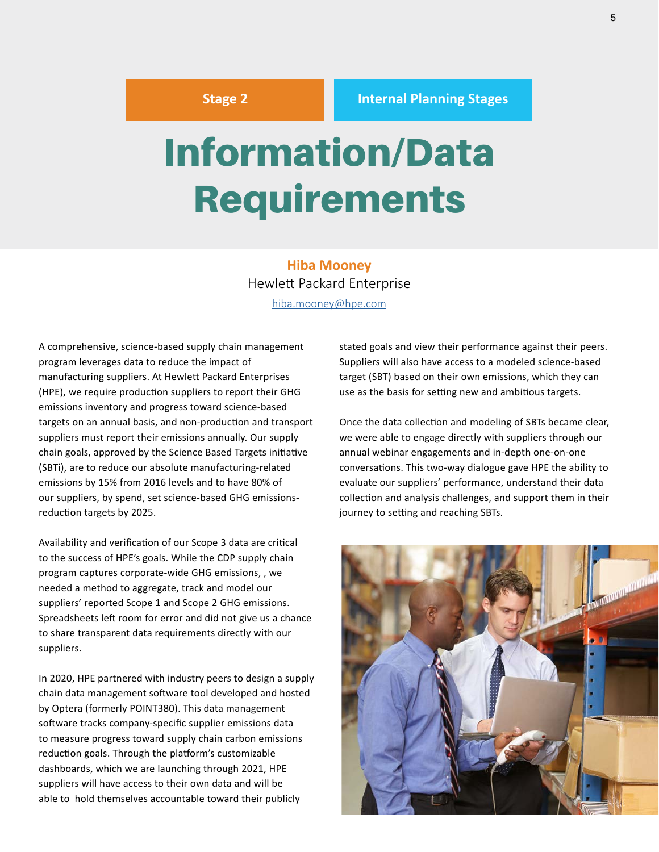## <span id="page-4-0"></span>Information/Data Requirements

**Hiba Mooney** Hewlett Packard Enterprise [hiba.mooney@hpe.com](mailto:hiba.mooney@hpe.com)

A comprehensive, science-based supply chain management program leverages data to reduce the impact of manufacturing suppliers. At Hewlett Packard Enterprises (HPE), we require production suppliers to report their GHG emissions inventory and progress toward science-based targets on an annual basis, and non-production and transport suppliers must report their emissions annually. Our supply chain goals, approved by the Science Based Targets initiative (SBTi), are to reduce our absolute manufacturing-related emissions by 15% from 2016 levels and to have 80% of our suppliers, by spend, set science-based GHG emissionsreduction targets by 2025.

Availability and verification of our Scope 3 data are critical to the success of HPE's goals. While the CDP supply chain program captures corporate-wide GHG emissions, , we needed a method to aggregate, track and model our suppliers' reported Scope 1 and Scope 2 GHG emissions. Spreadsheets left room for error and did not give us a chance to share transparent data requirements directly with our suppliers.

In 2020, HPE partnered with industry peers to design a supply chain data management software tool developed and hosted by Optera (formerly POINT380). This data management software tracks company-specific supplier emissions data to measure progress toward supply chain carbon emissions reduction goals. Through the platform's customizable dashboards, which we are launching through 2021, HPE suppliers will have access to their own data and will be able to hold themselves accountable toward their publicly

stated goals and view their performance against their peers. Suppliers will also have access to a modeled science-based target (SBT) based on their own emissions, which they can use as the basis for setting new and ambitious targets.

Once the data collection and modeling of SBTs became clear, we were able to engage directly with suppliers through our annual webinar engagements and in-depth one-on-one conversations. This two-way dialogue gave HPE the ability to evaluate our suppliers' performance, understand their data collection and analysis challenges, and support them in their journey to setting and reaching SBTs.

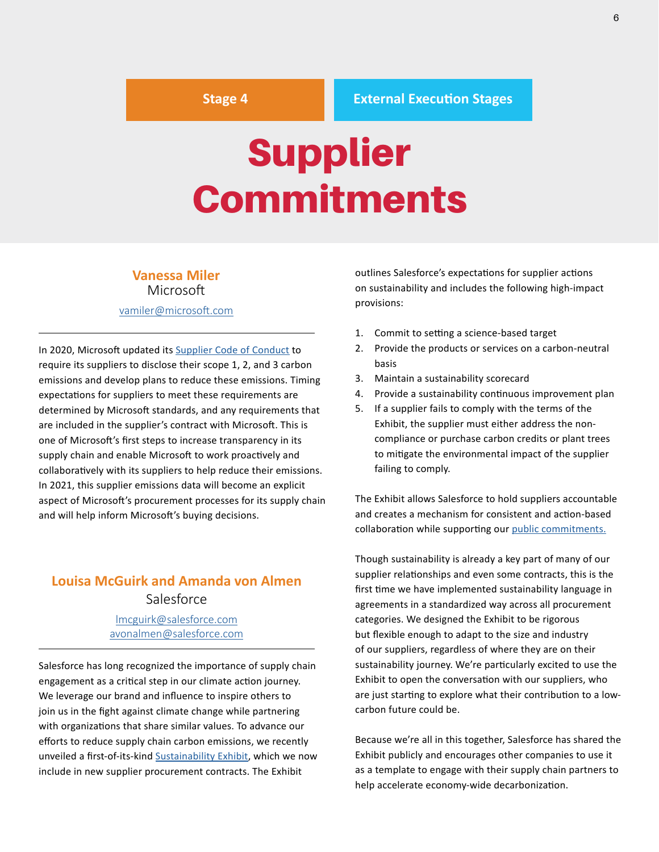#### <span id="page-5-0"></span>**Stage 4 External Execution Stages**

## Supplier Commitments

#### **Vanessa Miler Microsoft**

#### [vamiler@microsoft.com](mailto:vamiler@microsoft.com)

In 2020, Microsoft updated its [Supplier Code of Conduct](https://www.microsoft.com/en-us/procurement/supplier-conduct.aspx?activetab=pivot:primaryr10) to require its suppliers to disclose their scope 1, 2, and 3 carbon emissions and develop plans to reduce these emissions. Timing expectations for suppliers to meet these requirements are determined by Microsoft standards, and any requirements that are included in the supplier's contract with Microsoft. This is one of Microsoft's first steps to increase transparency in its supply chain and enable Microsoft to work proactively and collaboratively with its suppliers to help reduce their emissions. In 2021, this supplier emissions data will become an explicit aspect of Microsoft's procurement processes for its supply chain and will help inform Microsoft's buying decisions.

#### **Louisa McGuirk and Amanda von Almen Salesforce**

#### [lmcguirk@salesforce.com](mailto:lmcguirk@salesforce.com) [avonalmen@salesforce.com](mailto:avonalmen@salesforce.com)

Salesforce has long recognized the importance of supply chain engagement as a critical step in our climate action journey. We leverage our brand and influence to inspire others to join us in the fight against climate change while partnering with organizations that share similar values. To advance our efforts to reduce supply chain carbon emissions, we recently unveiled a first-of-its-kind S[ustainability Exhibit,](https://www.salesforce.com/content/dam/web/en_us/www/documents/legal/sustainability-exhibit.pdf?utm_source=newsletter&utm_medium=email&utm_campaign=greenbuzz&utm_content=2021-05-03) which we now include in new supplier procurement contracts. The Exhibit

outlines Salesforce's expectations for supplier actions on sustainability and includes the following high-impact provisions:

- 1. Commit to setting a science-based target
- 2. Provide the products or services on a carbon-neutral basis
- 3. Maintain a sustainability scorecard
- 4. Provide a sustainability continuous improvement plan
- 5. If a supplier fails to comply with the terms of the Exhibit, the supplier must either address the noncompliance or purchase carbon credits or plant trees to mitigate the environmental impact of the supplier failing to comply.

The Exhibit allows Salesforce to hold suppliers accountable and creates a mechanism for consistent and action-based collaboration while supporting our [public commitments.](https://www.salesforce.com/news/stories/salesforce-urges-suppliers-to-reduce-carbon-emissions-adds-climate-to-contracts/)

Though sustainability is already a key part of many of our supplier relationships and even some contracts, this is the first time we have implemented sustainability language in agreements in a standardized way across all procurement categories. We designed the Exhibit to be rigorous but flexible enough to adapt to the size and industry of our suppliers, regardless of where they are on their sustainability journey. We're particularly excited to use the Exhibit to open the conversation with our suppliers, who are just starting to explore what their contribution to a lowcarbon future could be.

Because we're all in this together, Salesforce has shared the Exhibit publicly and encourages other companies to use it as a template to engage with their supply chain partners to help accelerate economy-wide decarbonization.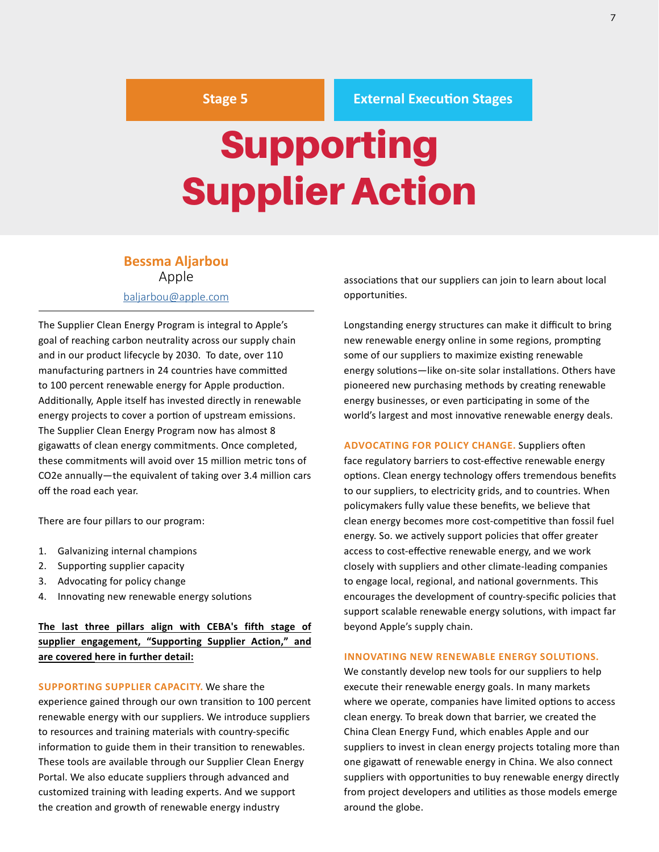#### **Stage 5 External Execution Stages**

## <span id="page-6-0"></span>Supporting Supplier Action

#### **Bessma Aljarbou** Apple

#### [baljarbou@apple.com](mailto:baljarbou%40apple.com?subject=)

The Supplier Clean Energy Program is integral to Apple's goal of reaching carbon neutrality across our supply chain and in our product lifecycle by 2030. To date, over 110 manufacturing partners in 24 countries have committed to 100 percent renewable energy for Apple production. Additionally, Apple itself has invested directly in renewable energy projects to cover a portion of upstream emissions. The Supplier Clean Energy Program now has almost 8 gigawatts of clean energy commitments. Once completed, these commitments will avoid over 15 million metric tons of CO2e annually—the equivalent of taking over 3.4 million cars off the road each year.

There are four pillars to our program:

- 1. Galvanizing internal champions
- 2. Supporting supplier capacity
- 3. Advocating for policy change
- 4. Innovating new renewable energy solutions

**The last three pillars align with CEBA's fifth stage of supplier engagement, "Supporting Supplier Action," and are covered here in further detail:**

**SUPPORTING SUPPLIER CAPACITY.** We share the experience gained through our own transition to 100 percent renewable energy with our suppliers. We introduce suppliers to resources and training materials with country-specific information to guide them in their transition to renewables. These tools are available through our Supplier Clean Energy Portal. We also educate suppliers through advanced and customized training with leading experts. And we support the creation and growth of renewable energy industry

associations that our suppliers can join to learn about local opportunities.

Longstanding energy structures can make it difficult to bring new renewable energy online in some regions, prompting some of our suppliers to maximize existing renewable energy solutions—like on-site solar installations. Others have pioneered new purchasing methods by creating renewable energy businesses, or even participating in some of the world's largest and most innovative renewable energy deals.

**ADVOCATING FOR POLICY CHANGE.** Suppliers often face regulatory barriers to cost-effective renewable energy options. Clean energy technology offers tremendous benefits to our suppliers, to electricity grids, and to countries. When policymakers fully value these benefits, we believe that clean energy becomes more cost-competitive than fossil fuel energy. So. we actively support policies that offer greater access to cost-effective renewable energy, and we work closely with suppliers and other climate-leading companies to engage local, regional, and national governments. This encourages the development of country-specific policies that support scalable renewable energy solutions, with impact far beyond Apple's supply chain.

#### **INNOVATING NEW RENEWABLE ENERGY SOLUTIONS.**

We constantly develop new tools for our suppliers to help execute their renewable energy goals. In many markets where we operate, companies have limited options to access clean energy. To break down that barrier, we created the China Clean Energy Fund, which enables Apple and our suppliers to invest in clean energy projects totaling more than one gigawatt of renewable energy in China. We also connect suppliers with opportunities to buy renewable energy directly from project developers and utilities as those models emerge around the globe.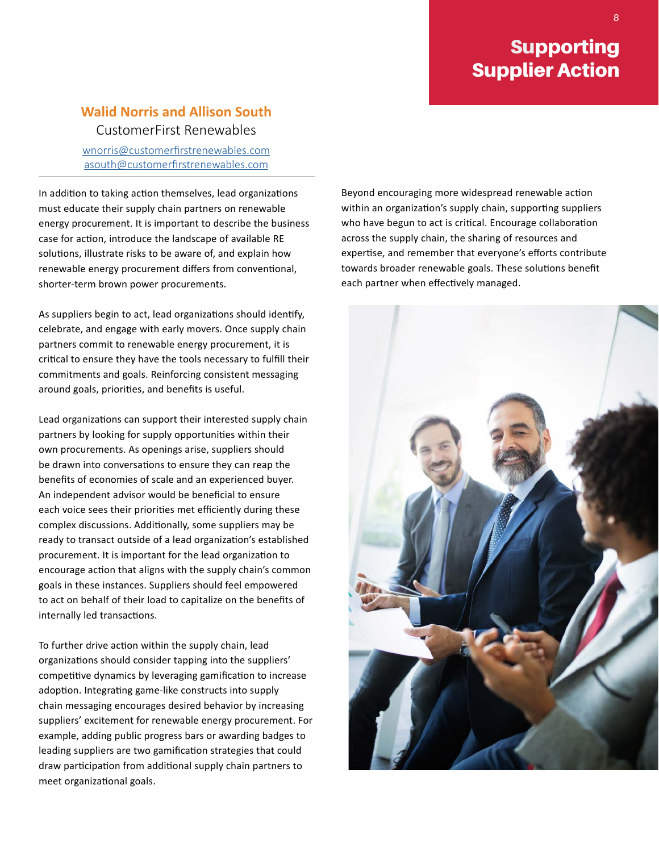### Supporting Supplier Action

#### **Walid Norris and Allison South** CustomerFirst Renewables

[wnorris@customerfirstrenewables.com](mailto:https://nam10.safelinks.protection.outlook.com/%3Furl%3Dhttps%253A%252F%252Fwww.microsoft.com%252Fen-us%252Fprocurement%252Fsupplier-conduct.aspx%253Factivetab%253Dpivot%253Aprimaryr10%26data%3D04%257C01%257Clproom%2540rebuyers.org%257Cea150e4cf89748b7ae9d08d95e723105%257C85e98bb78ec64977a794ffb1ede0f3df%257C1%257C0%257C637644666821695983%257CUnknown%257CTWFpbGZsb3d8eyJWIjoiMC4wLjAwMDAiLCJQIjoiV2luMzIiLCJBTiI6Ik1haWwiLCJXVCI6Mn0%253D%257C1000%26sdata%3DIDuYZ8uaIkCt3MfyXL%252FnDBNbm%252BwaR7NLuguxg2RL1sE%253D%26reserved%3D0?subject=) [asouth@customerfirstrenewables.com](mailto:asouth%40customerfirstrenewables.com?subject=)

In addition to taking action themselves, lead organizations must educate their supply chain partners on renewable energy procurement. It is important to describe the business case for action, introduce the landscape of available RE solutions, illustrate risks to be aware of, and explain how renewable energy procurement differs from conventional, shorter-term brown power procurements.

As suppliers begin to act, lead organizations should identify, celebrate, and engage with early movers. Once supply chain partners commit to renewable energy procurement, it is critical to ensure they have the tools necessary to fulfill their commitments and goals. Reinforcing consistent messaging around goals, priorities, and benefits is useful.

Lead organizations can support their interested supply chain partners by looking for supply opportunities within their own procurements. As openings arise, suppliers should be drawn into conversations to ensure they can reap the benefits of economies of scale and an experienced buyer. An independent advisor would be beneficial to ensure each voice sees their priorities met efficiently during these complex discussions. Additionally, some suppliers may be ready to transact outside of a lead organization's established procurement. It is important for the lead organization to encourage action that aligns with the supply chain's common goals in these instances. Suppliers should feel empowered to act on behalf of their load to capitalize on the benefits of internally led transactions.

To further drive action within the supply chain, lead organizations should consider tapping into the suppliers' competitive dynamics by leveraging gamification to increase adoption. Integrating game-like constructs into supply chain messaging encourages desired behavior by increasing suppliers' excitement for renewable energy procurement. For example, adding public progress bars or awarding badges to leading suppliers are two gamification strategies that could draw participation from additional supply chain partners to meet organizational goals.

Beyond encouraging more widespread renewable action within an organization's supply chain, supporting suppliers who have begun to act is critical. Encourage collaboration across the supply chain, the sharing of resources and expertise, and remember that everyone's efforts contribute towards broader renewable goals. These solutions benefit each partner when effectively managed.

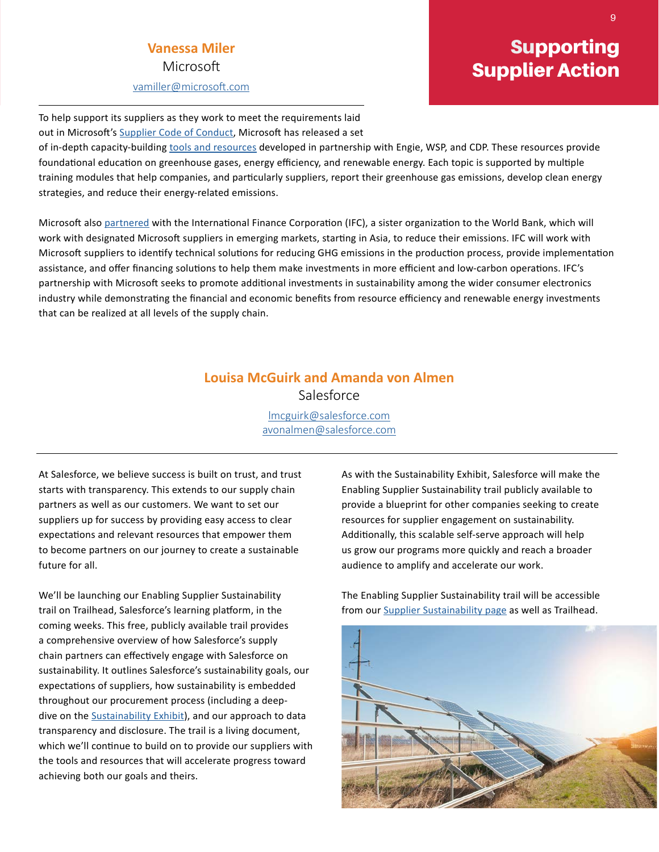#### **Vanessa Miler** Microsoft

[vamiller@microsoft.com](mailto:vamiller@microsoft.com)

### Supporting Supplier Action

To help support its suppliers as they work to meet the requirements laid out in Microsoft's [Supplier Code of Conduct,](https://nam10.safelinks.protection.outlook.com/?url=https%3A%2F%2Fwww.microsoft.com%2Fen-us%2Fprocurement%2Fsupplier-conduct.aspx%3Factivetab%3Dpivot%3Aprimaryr10&data=04%7C01%7Clproom%40rebuyers.org%7Cea150e4cf89748b7ae9d08d95e723105%7C85e98bb78ec64977a794ffb1ede0f3df%7C1%7C0%7C637644666821695983%7CUnknown%7CTWFpbGZsb3d8eyJWIjoiMC4wLjAwMDAiLCJQIjoiV2luMzIiLCJBTiI6Ik1haWwiLCJXVCI6Mn0%3D%7C1000&sdata=IDuYZ8uaIkCt3MfyXL%2FnDBNbm%2BwaR7NLuguxg2RL1sE%3D&reserved=0) Microsoft has released a set

of in-depth capacity-building [tools and resources](https://nam10.safelinks.protection.outlook.com/?url=https%3A%2F%2Faka.ms%2FMSFTSustainabilityResources&data=04%7C01%7Clproom%40rebuyers.org%7Cea150e4cf89748b7ae9d08d95e723105%7C85e98bb78ec64977a794ffb1ede0f3df%7C1%7C0%7C637644666821695983%7CUnknown%7CTWFpbGZsb3d8eyJWIjoiMC4wLjAwMDAiLCJQIjoiV2luMzIiLCJBTiI6Ik1haWwiLCJXVCI6Mn0%3D%7C1000&sdata=1NJJHWMFhZEGRu4iFll66XkAvbGZ3W8vg58s6tYoDI8%3D&reserved=0) developed in partnership with Engie, WSP, and CDP. These resources provide foundational education on greenhouse gases, energy efficiency, and renewable energy. Each topic is supported by multiple training modules that help companies, and particularly suppliers, report their greenhouse gas emissions, develop clean energy strategies, and reduce their energy-related emissions.

Microsoft also [partnered](https://nam10.safelinks.protection.outlook.com/?url=https%3A%2F%2Fpressroom.ifc.org%2Fall%2Fpages%2FPressDetail.aspx%3FID%3D26505&data=04%7C01%7Clproom%40rebuyers.org%7Cea150e4cf89748b7ae9d08d95e723105%7C85e98bb78ec64977a794ffb1ede0f3df%7C1%7C0%7C637644666821705937%7CUnknown%7CTWFpbGZsb3d8eyJWIjoiMC4wLjAwMDAiLCJQIjoiV2luMzIiLCJBTiI6Ik1haWwiLCJXVCI6Mn0%3D%7C1000&sdata=8V58x1RFsz8Tr%2FuCPXiR3GaLQboidi2AZsx%2BnjpNbrc%3D&reserved=0) with the International Finance Corporation (IFC), a sister organization to the World Bank, which will work with designated Microsoft suppliers in emerging markets, starting in Asia, to reduce their emissions. IFC will work with Microsoft suppliers to identify technical solutions for reducing GHG emissions in the production process, provide implementation assistance, and offer financing solutions to help them make investments in more efficient and low-carbon operations. IFC's partnership with Microsoft seeks to promote additional investments in sustainability among the wider consumer electronics industry while demonstrating the financial and economic benefits from resource efficiency and renewable energy investments that can be realized at all levels of the supply chain.

#### **Louisa McGuirk and Amanda von Almen** Salesforce

[lmcguirk@salesforce.com](mailto:lmcguirk%40salesforce.com?subject=) [avonalmen@salesforce.com](mailto:avonalmen%40salesforce.com?subject=)

At Salesforce, we believe success is built on trust, and trust starts with transparency. This extends to our supply chain partners as well as our customers. We want to set our suppliers up for success by providing easy access to clear expectations and relevant resources that empower them to become partners on our journey to create a sustainable future for all.

We'll be launching our Enabling Supplier Sustainability trail on Trailhead, Salesforce's learning platform, in the coming weeks. This free, publicly available trail provides a comprehensive overview of how Salesforce's supply chain partners can effectively engage with Salesforce on sustainability. It outlines Salesforce's sustainability goals, our expectations of suppliers, how sustainability is embedded throughout our procurement process (including a deepdive on the **[Sustainability Exhibit](https://www.salesforce.com/content/dam/web/en_us/www/documents/legal/sustainability-exhibit.pdf?utm_source=newsletter&utm_medium=email&utm_campaign=greenbuzz&utm_content=2021-05-03)**), and our approach to data transparency and disclosure. The trail is a living document, which we'll continue to build on to provide our suppliers with the tools and resources that will accelerate progress toward achieving both our goals and theirs.

As with the Sustainability Exhibit, Salesforce will make the Enabling Supplier Sustainability trail publicly available to provide a blueprint for other companies seeking to create resources for supplier engagement on sustainability. Additionally, this scalable self-serve approach will help us grow our programs more quickly and reach a broader audience to amplify and accelerate our work.

The Enabling Supplier Sustainability trail will be accessible from our [Supplier Sustainability page](https://www.salesforce.com/company/sustainability/supplier-sustainability/) as well as Trailhead.